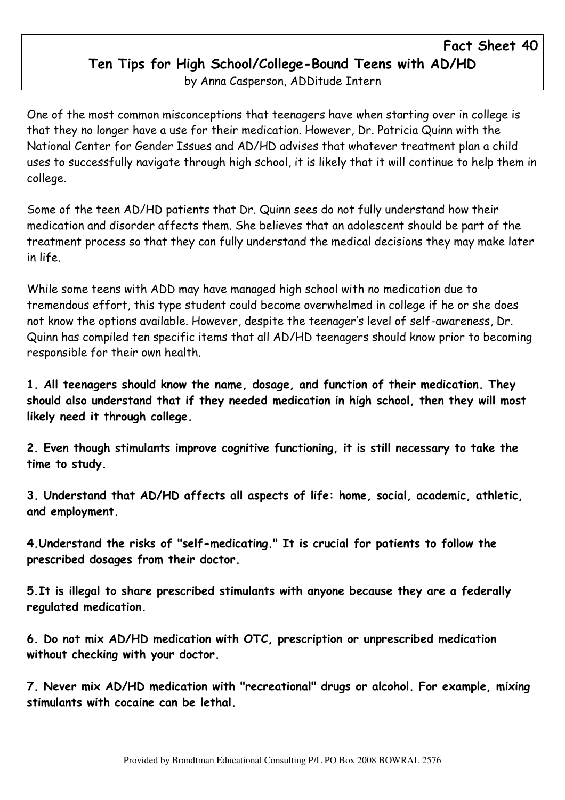## Fact Sheet 40 Ten Tips for High School/College-Bound Teens with AD/HD by Anna Casperson, ADDitude Intern

One of the most common misconceptions that teenagers have when starting over in college is that they no longer have a use for their medication. However, Dr. Patricia Quinn with the National Center for Gender Issues and AD/HD advises that whatever treatment plan a child uses to successfully navigate through high school, it is likely that it will continue to help them in college.

Some of the teen AD/HD patients that Dr. Quinn sees do not fully understand how their medication and disorder affects them. She believes that an adolescent should be part of the treatment process so that they can fully understand the medical decisions they may make later in life.

While some teens with ADD may have managed high school with no medication due to tremendous effort, this type student could become overwhelmed in college if he or she does not know the options available. However, despite the teenager's level of self-awareness, Dr. Quinn has compiled ten specific items that all AD/HD teenagers should know prior to becoming responsible for their own health.

1. All teenagers should know the name, dosage, and function of their medication. They should also understand that if they needed medication in high school, then they will most likely need it through college.

2. Even though stimulants improve cognitive functioning, it is still necessary to take the time to study.

3. Understand that AD/HD affects all aspects of life: home, social, academic, athletic, and employment.

4.Understand the risks of "self-medicating." It is crucial for patients to follow the prescribed dosages from their doctor.

5.It is illegal to share prescribed stimulants with anyone because they are a federally regulated medication.

6. Do not mix AD/HD medication with OTC, prescription or unprescribed medication without checking with your doctor.

7. Never mix AD/HD medication with "recreational" drugs or alcohol. For example, mixing stimulants with cocaine can be lethal.